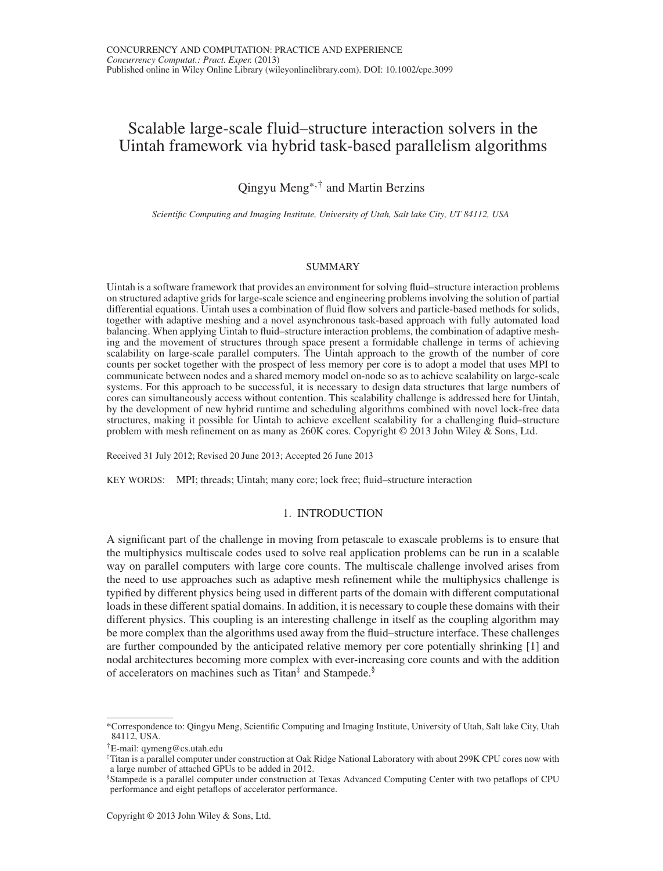# Scalable large-scale fluid–structure interaction solvers in the Uintah framework via hybrid task-based parallelism algorithms

Qingyu Meng\*,† and Martin Berzins

*Scientific Computing and Imaging Institute, University of Utah, Salt lake City, UT 84112, USA*

## SUMMARY

Uintah is a software framework that provides an environment for solving fluid–structure interaction problems on structured adaptive grids for large-scale science and engineering problems involving the solution of partial differential equations. Uintah uses a combination of fluid flow solvers and particle-based methods for solids, together with adaptive meshing and a novel asynchronous task-based approach with fully automated load balancing. When applying Uintah to fluid–structure interaction problems, the combination of adaptive meshing and the movement of structures through space present a formidable challenge in terms of achieving scalability on large-scale parallel computers. The Uintah approach to the growth of the number of core counts per socket together with the prospect of less memory per core is to adopt a model that uses MPI to communicate between nodes and a shared memory model on-node so as to achieve scalability on large-scale systems. For this approach to be successful, it is necessary to design data structures that large numbers of cores can simultaneously access without contention. This scalability challenge is addressed here for Uintah, by the development of new hybrid runtime and scheduling algorithms combined with novel lock-free data structures, making it possible for Uintah to achieve excellent scalability for a challenging fluid–structure problem with mesh refinement on as many as 260K cores. Copyright © 2013 John Wiley & Sons, Ltd.

Received 31 July 2012; Revised 20 June 2013; Accepted 26 June 2013

KEY WORDS: MPI; threads; Uintah; many core; lock free; fluid–structure interaction

## 1. INTRODUCTION

A significant part of the challenge in moving from petascale to exascale problems is to ensure that the multiphysics multiscale codes used to solve real application problems can be run in a scalable way on parallel computers with large core counts. The multiscale challenge involved arises from the need to use approaches such as adaptive mesh refinement while the multiphysics challenge is typified by different physics being used in different parts of the domain with different computational loads in these different spatial domains. In addition, it is necessary to couple these domains with their different physics. This coupling is an interesting challenge in itself as the coupling algorithm may be more complex than the algorithms used away from the fluid–structure interface. These challenges are further compounded by the anticipated relative memory per core potentially shrinking [1] and nodal architectures becoming more complex with ever-increasing core counts and with the addition of accelerators on machines such as Titan‡ and Stampede.§

<sup>\*</sup>Correspondence to: Qingyu Meng, Scientific Computing and Imaging Institute, University of Utah, Salt lake City, Utah 84112, USA.

<sup>†</sup>E-mail: qymeng@cs.utah.edu

<sup>‡</sup> Titan is a parallel computer under construction at Oak Ridge National Laboratory with about 299K CPU cores now with a large number of attached GPUs to be added in 2012.

<sup>§</sup> Stampede is a parallel computer under construction at Texas Advanced Computing Center with two petaflops of CPU performance and eight petaflops of accelerator performance.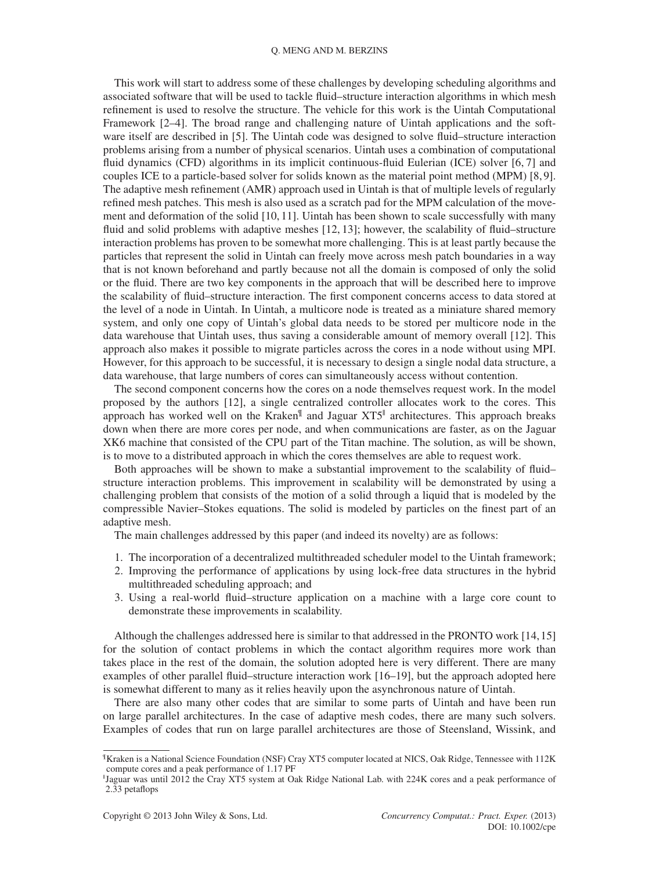This work will start to address some of these challenges by developing scheduling algorithms and associated software that will be used to tackle fluid–structure interaction algorithms in which mesh refinement is used to resolve the structure. The vehicle for this work is the Uintah Computational Framework [2–4]. The broad range and challenging nature of Uintah applications and the software itself are described in [5]. The Uintah code was designed to solve fluid–structure interaction problems arising from a number of physical scenarios. Uintah uses a combination of computational fluid dynamics (CFD) algorithms in its implicit continuous-fluid Eulerian (ICE) solver [6, 7] and couples ICE to a particle-based solver for solids known as the material point method (MPM) [8, 9]. The adaptive mesh refinement (AMR) approach used in Uintah is that of multiple levels of regularly refined mesh patches. This mesh is also used as a scratch pad for the MPM calculation of the movement and deformation of the solid [10, 11]. Uintah has been shown to scale successfully with many fluid and solid problems with adaptive meshes [12, 13]; however, the scalability of fluid–structure interaction problems has proven to be somewhat more challenging. This is at least partly because the particles that represent the solid in Uintah can freely move across mesh patch boundaries in a way that is not known beforehand and partly because not all the domain is composed of only the solid or the fluid. There are two key components in the approach that will be described here to improve the scalability of fluid–structure interaction. The first component concerns access to data stored at the level of a node in Uintah. In Uintah, a multicore node is treated as a miniature shared memory system, and only one copy of Uintah's global data needs to be stored per multicore node in the data warehouse that Uintah uses, thus saving a considerable amount of memory overall [12]. This approach also makes it possible to migrate particles across the cores in a node without using MPI. However, for this approach to be successful, it is necessary to design a single nodal data structure, a data warehouse, that large numbers of cores can simultaneously access without contention.

The second component concerns how the cores on a node themselves request work. In the model proposed by the authors [12], a single centralized controller allocates work to the cores. This approach has worked well on the Kraken $\mathbb{I}$  and Jaguar XT5<sup> $\mathbb{I}$ </sup> architectures. This approach breaks down when there are more cores per node, and when communications are faster, as on the Jaguar XK6 machine that consisted of the CPU part of the Titan machine. The solution, as will be shown, is to move to a distributed approach in which the cores themselves are able to request work.

Both approaches will be shown to make a substantial improvement to the scalability of fluid– structure interaction problems. This improvement in scalability will be demonstrated by using a challenging problem that consists of the motion of a solid through a liquid that is modeled by the compressible Navier–Stokes equations. The solid is modeled by particles on the finest part of an adaptive mesh.

The main challenges addressed by this paper (and indeed its novelty) are as follows:

- 1. The incorporation of a decentralized multithreaded scheduler model to the Uintah framework;
- 2. Improving the performance of applications by using lock-free data structures in the hybrid multithreaded scheduling approach; and
- 3. Using a real-world fluid–structure application on a machine with a large core count to demonstrate these improvements in scalability.

Although the challenges addressed here is similar to that addressed in the PRONTO work [14,15] for the solution of contact problems in which the contact algorithm requires more work than takes place in the rest of the domain, the solution adopted here is very different. There are many examples of other parallel fluid–structure interaction work [16–19], but the approach adopted here is somewhat different to many as it relies heavily upon the asynchronous nature of Uintah.

There are also many other codes that are similar to some parts of Uintah and have been run on large parallel architectures. In the case of adaptive mesh codes, there are many such solvers. Examples of codes that run on large parallel architectures are those of Steensland, Wissink, and

<sup>¶</sup> Kraken is a National Science Foundation (NSF) Cray XT5 computer located at NICS, Oak Ridge, Tennessee with 112K compute cores and a peak performance of 1.17 PF

<sup>||</sup>Jaguar was until 2012 the Cray XT5 system at Oak Ridge National Lab. with 224K cores and a peak performance of 2.33 petaflops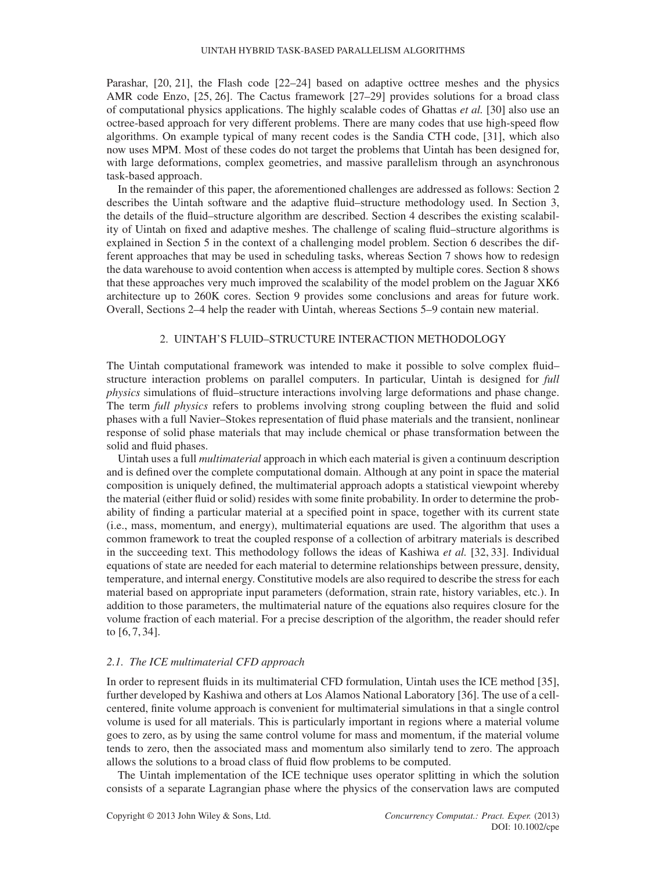Parashar, [20, 21], the Flash code [22–24] based on adaptive octtree meshes and the physics AMR code Enzo, [25, 26]. The Cactus framework [27–29] provides solutions for a broad class of computational physics applications. The highly scalable codes of Ghattas *et al.* [30] also use an octree-based approach for very different problems. There are many codes that use high-speed flow algorithms. On example typical of many recent codes is the Sandia CTH code, [31], which also now uses MPM. Most of these codes do not target the problems that Uintah has been designed for, with large deformations, complex geometries, and massive parallelism through an asynchronous task-based approach.

In the remainder of this paper, the aforementioned challenges are addressed as follows: Section 2 describes the Uintah software and the adaptive fluid–structure methodology used. In Section 3, the details of the fluid–structure algorithm are described. Section 4 describes the existing scalability of Uintah on fixed and adaptive meshes. The challenge of scaling fluid–structure algorithms is explained in Section 5 in the context of a challenging model problem. Section 6 describes the different approaches that may be used in scheduling tasks, whereas Section 7 shows how to redesign the data warehouse to avoid contention when access is attempted by multiple cores. Section 8 shows that these approaches very much improved the scalability of the model problem on the Jaguar XK6 architecture up to 260K cores. Section 9 provides some conclusions and areas for future work. Overall, Sections 2–4 help the reader with Uintah, whereas Sections 5–9 contain new material.

## 2. UINTAH'S FLUID–STRUCTURE INTERACTION METHODOLOGY

The Uintah computational framework was intended to make it possible to solve complex fluid– structure interaction problems on parallel computers. In particular, Uintah is designed for *full physics* simulations of fluid–structure interactions involving large deformations and phase change. The term *full physics* refers to problems involving strong coupling between the fluid and solid phases with a full Navier–Stokes representation of fluid phase materials and the transient, nonlinear response of solid phase materials that may include chemical or phase transformation between the solid and fluid phases.

Uintah uses a full *multimaterial* approach in which each material is given a continuum description and is defined over the complete computational domain. Although at any point in space the material composition is uniquely defined, the multimaterial approach adopts a statistical viewpoint whereby the material (either fluid or solid) resides with some finite probability. In order to determine the probability of finding a particular material at a specified point in space, together with its current state (i.e., mass, momentum, and energy), multimaterial equations are used. The algorithm that uses a common framework to treat the coupled response of a collection of arbitrary materials is described in the succeeding text. This methodology follows the ideas of Kashiwa *et al.* [32, 33]. Individual equations of state are needed for each material to determine relationships between pressure, density, temperature, and internal energy. Constitutive models are also required to describe the stress for each material based on appropriate input parameters (deformation, strain rate, history variables, etc.). In addition to those parameters, the multimaterial nature of the equations also requires closure for the volume fraction of each material. For a precise description of the algorithm, the reader should refer to [6, 7, 34].

## *2.1. The ICE multimaterial CFD approach*

In order to represent fluids in its multimaterial CFD formulation, Uintah uses the ICE method [35], further developed by Kashiwa and others at Los Alamos National Laboratory [36]. The use of a cellcentered, finite volume approach is convenient for multimaterial simulations in that a single control volume is used for all materials. This is particularly important in regions where a material volume goes to zero, as by using the same control volume for mass and momentum, if the material volume tends to zero, then the associated mass and momentum also similarly tend to zero. The approach allows the solutions to a broad class of fluid flow problems to be computed.

The Uintah implementation of the ICE technique uses operator splitting in which the solution consists of a separate Lagrangian phase where the physics of the conservation laws are computed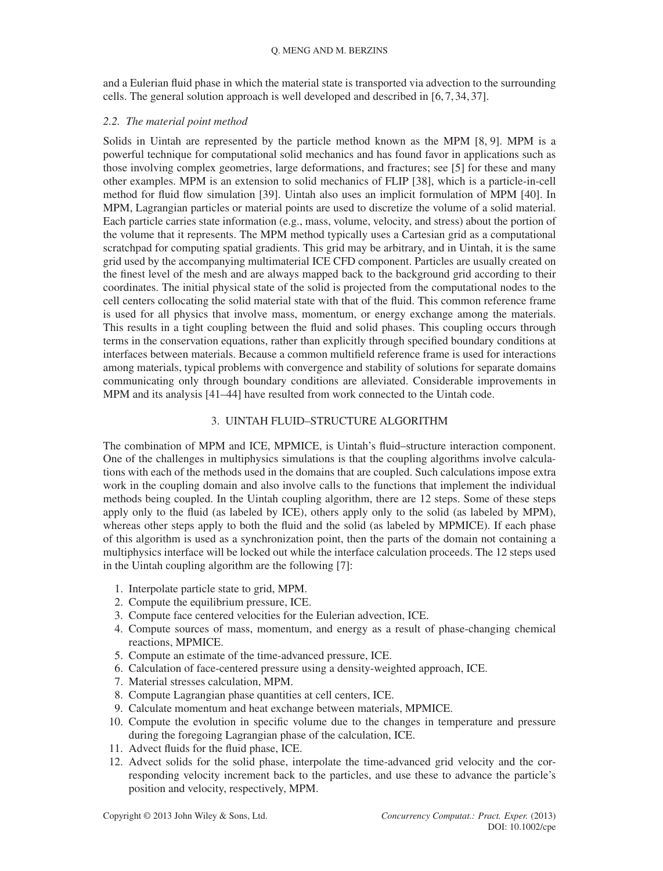and a Eulerian fluid phase in which the material state is transported via advection to the surrounding cells. The general solution approach is well developed and described in [6, 7, 34, 37].

## *2.2. The material point method*

Solids in Uintah are represented by the particle method known as the MPM [8, 9]. MPM is a powerful technique for computational solid mechanics and has found favor in applications such as those involving complex geometries, large deformations, and fractures; see [5] for these and many other examples. MPM is an extension to solid mechanics of FLIP [38], which is a particle-in-cell method for fluid flow simulation [39]. Uintah also uses an implicit formulation of MPM [40]. In MPM, Lagrangian particles or material points are used to discretize the volume of a solid material. Each particle carries state information (e.g., mass, volume, velocity, and stress) about the portion of the volume that it represents. The MPM method typically uses a Cartesian grid as a computational scratchpad for computing spatial gradients. This grid may be arbitrary, and in Uintah, it is the same grid used by the accompanying multimaterial ICE CFD component. Particles are usually created on the finest level of the mesh and are always mapped back to the background grid according to their coordinates. The initial physical state of the solid is projected from the computational nodes to the cell centers collocating the solid material state with that of the fluid. This common reference frame is used for all physics that involve mass, momentum, or energy exchange among the materials. This results in a tight coupling between the fluid and solid phases. This coupling occurs through terms in the conservation equations, rather than explicitly through specified boundary conditions at interfaces between materials. Because a common multifield reference frame is used for interactions among materials, typical problems with convergence and stability of solutions for separate domains communicating only through boundary conditions are alleviated. Considerable improvements in MPM and its analysis [41–44] have resulted from work connected to the Uintah code.

## 3. UINTAH FLUID–STRUCTURE ALGORITHM

The combination of MPM and ICE, MPMICE, is Uintah's fluid–structure interaction component. One of the challenges in multiphysics simulations is that the coupling algorithms involve calculations with each of the methods used in the domains that are coupled. Such calculations impose extra work in the coupling domain and also involve calls to the functions that implement the individual methods being coupled. In the Uintah coupling algorithm, there are 12 steps. Some of these steps apply only to the fluid (as labeled by ICE), others apply only to the solid (as labeled by MPM), whereas other steps apply to both the fluid and the solid (as labeled by MPMICE). If each phase of this algorithm is used as a synchronization point, then the parts of the domain not containing a multiphysics interface will be locked out while the interface calculation proceeds. The 12 steps used in the Uintah coupling algorithm are the following [7]:

- 1. Interpolate particle state to grid, MPM.
- 2. Compute the equilibrium pressure, ICE.
- 3. Compute face centered velocities for the Eulerian advection, ICE.
- 4. Compute sources of mass, momentum, and energy as a result of phase-changing chemical reactions, MPMICE.
- 5. Compute an estimate of the time-advanced pressure, ICE.
- 6. Calculation of face-centered pressure using a density-weighted approach, ICE.
- 7. Material stresses calculation, MPM.
- 8. Compute Lagrangian phase quantities at cell centers, ICE.
- 9. Calculate momentum and heat exchange between materials, MPMICE.
- 10. Compute the evolution in specific volume due to the changes in temperature and pressure during the foregoing Lagrangian phase of the calculation, ICE.
- 11. Advect fluids for the fluid phase, ICE.
- 12. Advect solids for the solid phase, interpolate the time-advanced grid velocity and the corresponding velocity increment back to the particles, and use these to advance the particle's position and velocity, respectively, MPM.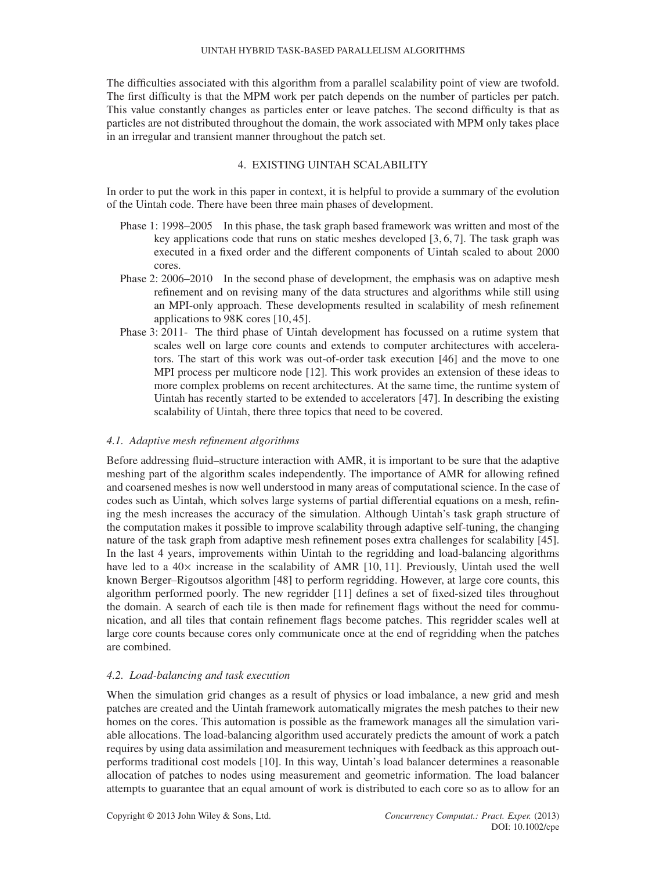The difficulties associated with this algorithm from a parallel scalability point of view are twofold. The first difficulty is that the MPM work per patch depends on the number of particles per patch. This value constantly changes as particles enter or leave patches. The second difficulty is that as particles are not distributed throughout the domain, the work associated with MPM only takes place in an irregular and transient manner throughout the patch set.

## 4. EXISTING UINTAH SCALABILITY

In order to put the work in this paper in context, it is helpful to provide a summary of the evolution of the Uintah code. There have been three main phases of development.

- Phase 1: 1998–2005 In this phase, the task graph based framework was written and most of the key applications code that runs on static meshes developed [3, 6, 7]. The task graph was executed in a fixed order and the different components of Uintah scaled to about 2000 cores.
- Phase 2: 2006–2010 In the second phase of development, the emphasis was on adaptive mesh refinement and on revising many of the data structures and algorithms while still using an MPI-only approach. These developments resulted in scalability of mesh refinement applications to 98K cores [10, 45].
- Phase 3: 2011- The third phase of Uintah development has focussed on a rutime system that scales well on large core counts and extends to computer architectures with accelerators. The start of this work was out-of-order task execution [46] and the move to one MPI process per multicore node [12]. This work provides an extension of these ideas to more complex problems on recent architectures. At the same time, the runtime system of Uintah has recently started to be extended to accelerators [47]. In describing the existing scalability of Uintah, there three topics that need to be covered.

## *4.1. Adaptive mesh refinement algorithms*

Before addressing fluid–structure interaction with AMR, it is important to be sure that the adaptive meshing part of the algorithm scales independently. The importance of AMR for allowing refined and coarsened meshes is now well understood in many areas of computational science. In the case of codes such as Uintah, which solves large systems of partial differential equations on a mesh, refining the mesh increases the accuracy of the simulation. Although Uintah's task graph structure of the computation makes it possible to improve scalability through adaptive self-tuning, the changing nature of the task graph from adaptive mesh refinement poses extra challenges for scalability [45]. In the last 4 years, improvements within Uintah to the regridding and load-balancing algorithms have led to a  $40\times$  increase in the scalability of AMR [10, 11]. Previously, Uintah used the well known Berger–Rigoutsos algorithm [48] to perform regridding. However, at large core counts, this algorithm performed poorly. The new regridder [11] defines a set of fixed-sized tiles throughout the domain. A search of each tile is then made for refinement flags without the need for communication, and all tiles that contain refinement flags become patches. This regridder scales well at large core counts because cores only communicate once at the end of regridding when the patches are combined.

# *4.2. Load-balancing and task execution*

When the simulation grid changes as a result of physics or load imbalance, a new grid and mesh patches are created and the Uintah framework automatically migrates the mesh patches to their new homes on the cores. This automation is possible as the framework manages all the simulation variable allocations. The load-balancing algorithm used accurately predicts the amount of work a patch requires by using data assimilation and measurement techniques with feedback as this approach outperforms traditional cost models [10]. In this way, Uintah's load balancer determines a reasonable allocation of patches to nodes using measurement and geometric information. The load balancer attempts to guarantee that an equal amount of work is distributed to each core so as to allow for an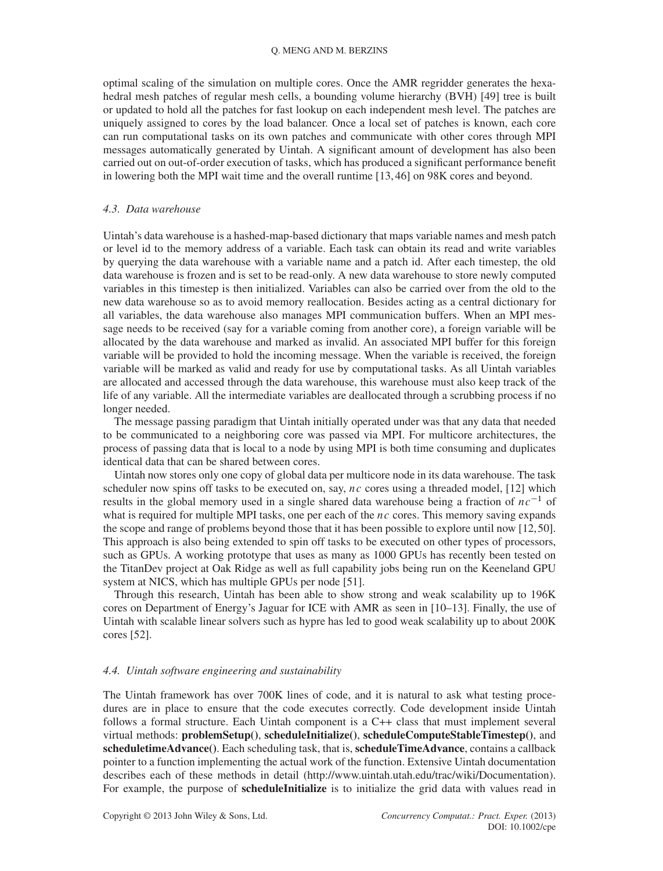optimal scaling of the simulation on multiple cores. Once the AMR regridder generates the hexahedral mesh patches of regular mesh cells, a bounding volume hierarchy (BVH) [49] tree is built or updated to hold all the patches for fast lookup on each independent mesh level. The patches are uniquely assigned to cores by the load balancer. Once a local set of patches is known, each core can run computational tasks on its own patches and communicate with other cores through MPI messages automatically generated by Uintah. A significant amount of development has also been carried out on out-of-order execution of tasks, which has produced a significant performance benefit in lowering both the MPI wait time and the overall runtime [13, 46] on 98K cores and beyond.

#### *4.3. Data warehouse*

Uintah's data warehouse is a hashed-map-based dictionary that maps variable names and mesh patch or level id to the memory address of a variable. Each task can obtain its read and write variables by querying the data warehouse with a variable name and a patch id. After each timestep, the old data warehouse is frozen and is set to be read-only. A new data warehouse to store newly computed variables in this timestep is then initialized. Variables can also be carried over from the old to the new data warehouse so as to avoid memory reallocation. Besides acting as a central dictionary for all variables, the data warehouse also manages MPI communication buffers. When an MPI message needs to be received (say for a variable coming from another core), a foreign variable will be allocated by the data warehouse and marked as invalid. An associated MPI buffer for this foreign variable will be provided to hold the incoming message. When the variable is received, the foreign variable will be marked as valid and ready for use by computational tasks. As all Uintah variables are allocated and accessed through the data warehouse, this warehouse must also keep track of the life of any variable. All the intermediate variables are deallocated through a scrubbing process if no longer needed.

The message passing paradigm that Uintah initially operated under was that any data that needed to be communicated to a neighboring core was passed via MPI. For multicore architectures, the process of passing data that is local to a node by using MPI is both time consuming and duplicates identical data that can be shared between cores.

Uintah now stores only one copy of global data per multicore node in its data warehouse. The task scheduler now spins off tasks to be executed on, say,  $nc$  cores using a threaded model, [12] which results in the global memory used in a single shared data warehouse being a fraction of  $nc^{-1}$  of what is required for multiple MPI tasks, one per each of the  $nc$  cores. This memory saving expands the scope and range of problems beyond those that it has been possible to explore until now [12,50]. This approach is also being extended to spin off tasks to be executed on other types of processors, such as GPUs. A working prototype that uses as many as 1000 GPUs has recently been tested on the TitanDev project at Oak Ridge as well as full capability jobs being run on the Keeneland GPU system at NICS, which has multiple GPUs per node [51].

Through this research, Uintah has been able to show strong and weak scalability up to 196K cores on Department of Energy's Jaguar for ICE with AMR as seen in [10–13]. Finally, the use of Uintah with scalable linear solvers such as hypre has led to good weak scalability up to about 200K cores [52].

## *4.4. Uintah software engineering and sustainability*

The Uintah framework has over 700K lines of code, and it is natural to ask what testing procedures are in place to ensure that the code executes correctly. Code development inside Uintah follows a formal structure. Each Uintah component is a C++ class that must implement several virtual methods: **problemSetup()**, **scheduleInitialize()**, **scheduleComputeStableTimestep()**, and **scheduletimeAdvance()**. Each scheduling task, that is, **scheduleTimeAdvance**, contains a callback pointer to a function implementing the actual work of the function. Extensive Uintah documentation describes each of these methods in detail (http://www.uintah.utah.edu/trac/wiki/Documentation). For example, the purpose of **scheduleInitialize** is to initialize the grid data with values read in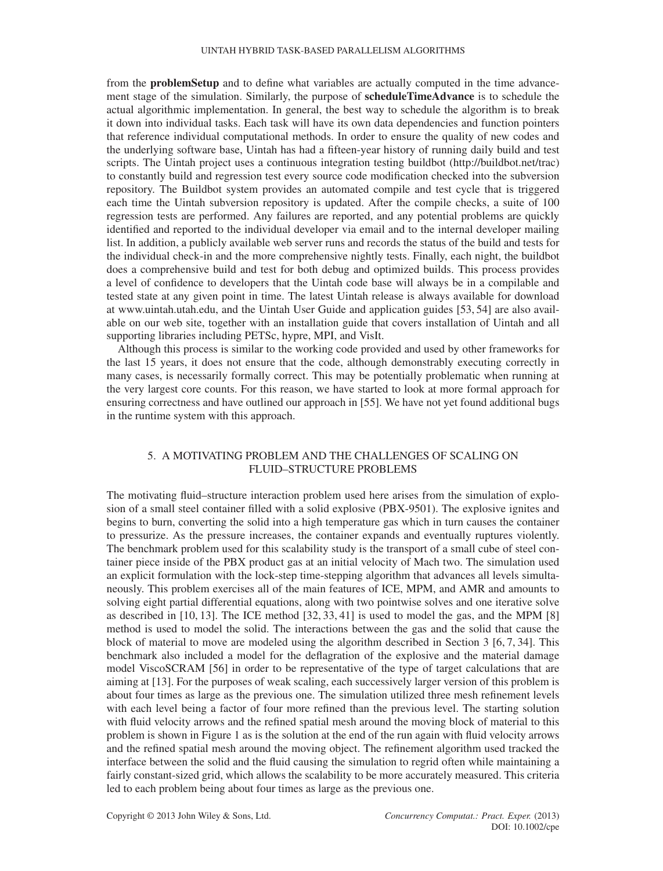### UINTAH HYBRID TASK-BASED PARALLELISM ALGORITHMS

from the **problemSetup** and to define what variables are actually computed in the time advancement stage of the simulation. Similarly, the purpose of **scheduleTimeAdvance** is to schedule the actual algorithmic implementation. In general, the best way to schedule the algorithm is to break it down into individual tasks. Each task will have its own data dependencies and function pointers that reference individual computational methods. In order to ensure the quality of new codes and the underlying software base, Uintah has had a fifteen-year history of running daily build and test scripts. The Uintah project uses a continuous integration testing buildbot (http://buildbot.net/trac) to constantly build and regression test every source code modification checked into the subversion repository. The Buildbot system provides an automated compile and test cycle that is triggered each time the Uintah subversion repository is updated. After the compile checks, a suite of 100 regression tests are performed. Any failures are reported, and any potential problems are quickly identified and reported to the individual developer via email and to the internal developer mailing list. In addition, a publicly available web server runs and records the status of the build and tests for the individual check-in and the more comprehensive nightly tests. Finally, each night, the buildbot does a comprehensive build and test for both debug and optimized builds. This process provides a level of confidence to developers that the Uintah code base will always be in a compilable and tested state at any given point in time. The latest Uintah release is always available for download at www.uintah.utah.edu, and the Uintah User Guide and application guides [53, 54] are also available on our web site, together with an installation guide that covers installation of Uintah and all supporting libraries including PETSc, hypre, MPI, and VisIt.

Although this process is similar to the working code provided and used by other frameworks for the last 15 years, it does not ensure that the code, although demonstrably executing correctly in many cases, is necessarily formally correct. This may be potentially problematic when running at the very largest core counts. For this reason, we have started to look at more formal approach for ensuring correctness and have outlined our approach in [55]. We have not yet found additional bugs in the runtime system with this approach.

## 5. A MOTIVATING PROBLEM AND THE CHALLENGES OF SCALING ON FLUID–STRUCTURE PROBLEMS

The motivating fluid–structure interaction problem used here arises from the simulation of explosion of a small steel container filled with a solid explosive (PBX-9501). The explosive ignites and begins to burn, converting the solid into a high temperature gas which in turn causes the container to pressurize. As the pressure increases, the container expands and eventually ruptures violently. The benchmark problem used for this scalability study is the transport of a small cube of steel container piece inside of the PBX product gas at an initial velocity of Mach two. The simulation used an explicit formulation with the lock-step time-stepping algorithm that advances all levels simultaneously. This problem exercises all of the main features of ICE, MPM, and AMR and amounts to solving eight partial differential equations, along with two pointwise solves and one iterative solve as described in [10, 13]. The ICE method [32, 33, 41] is used to model the gas, and the MPM [8] method is used to model the solid. The interactions between the gas and the solid that cause the block of material to move are modeled using the algorithm described in Section 3 [6, 7, 34]. This benchmark also included a model for the deflagration of the explosive and the material damage model ViscoSCRAM [56] in order to be representative of the type of target calculations that are aiming at [13]. For the purposes of weak scaling, each successively larger version of this problem is about four times as large as the previous one. The simulation utilized three mesh refinement levels with each level being a factor of four more refined than the previous level. The starting solution with fluid velocity arrows and the refined spatial mesh around the moving block of material to this problem is shown in Figure 1 as is the solution at the end of the run again with fluid velocity arrows and the refined spatial mesh around the moving object. The refinement algorithm used tracked the interface between the solid and the fluid causing the simulation to regrid often while maintaining a fairly constant-sized grid, which allows the scalability to be more accurately measured. This criteria led to each problem being about four times as large as the previous one.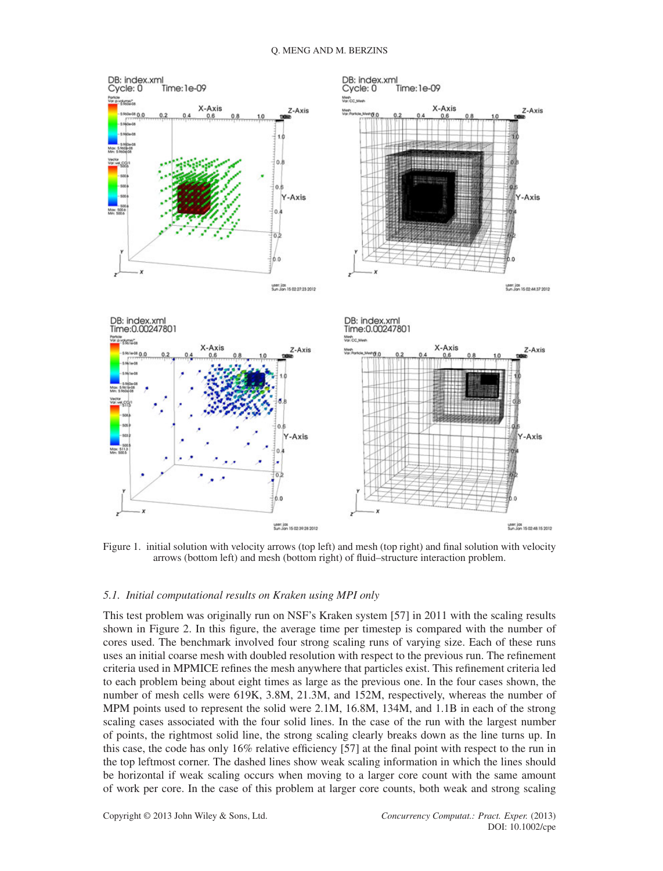

Figure 1. initial solution with velocity arrows (top left) and mesh (top right) and final solution with velocity arrows (bottom left) and mesh (bottom right) of fluid–structure interaction problem.

## *5.1. Initial computational results on Kraken using MPI only*

This test problem was originally run on NSF's Kraken system [57] in 2011 with the scaling results shown in Figure 2. In this figure, the average time per timestep is compared with the number of cores used. The benchmark involved four strong scaling runs of varying size. Each of these runs uses an initial coarse mesh with doubled resolution with respect to the previous run. The refinement criteria used in MPMICE refines the mesh anywhere that particles exist. This refinement criteria led to each problem being about eight times as large as the previous one. In the four cases shown, the number of mesh cells were 619K, 3.8M, 21.3M, and 152M, respectively, whereas the number of MPM points used to represent the solid were 2.1M, 16.8M, 134M, and 1.1B in each of the strong scaling cases associated with the four solid lines. In the case of the run with the largest number of points, the rightmost solid line, the strong scaling clearly breaks down as the line turns up. In this case, the code has only 16% relative efficiency [57] at the final point with respect to the run in the top leftmost corner. The dashed lines show weak scaling information in which the lines should be horizontal if weak scaling occurs when moving to a larger core count with the same amount of work per core. In the case of this problem at larger core counts, both weak and strong scaling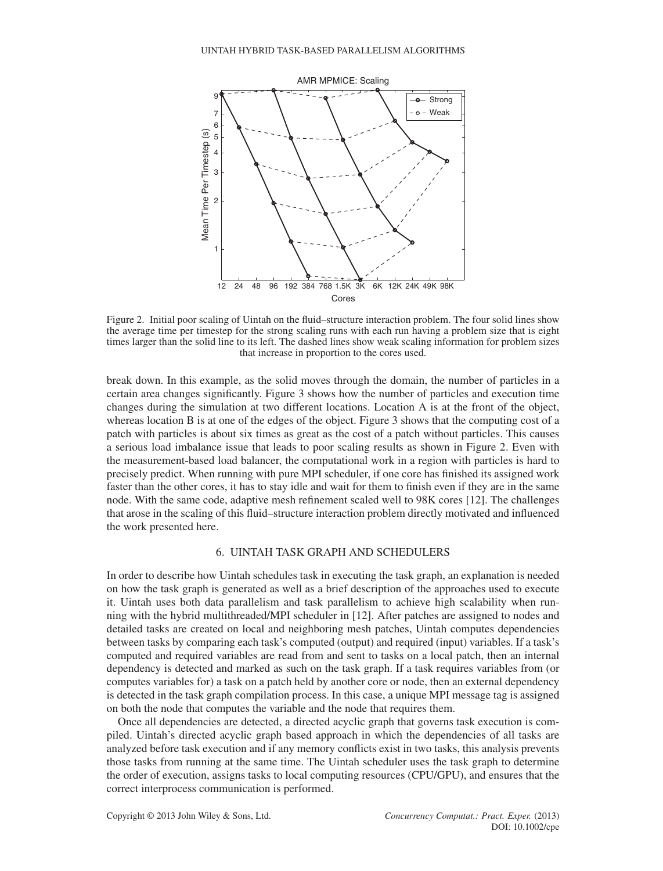

Figure 2. Initial poor scaling of Uintah on the fluid–structure interaction problem. The four solid lines show the average time per timestep for the strong scaling runs with each run having a problem size that is eight times larger than the solid line to its left. The dashed lines show weak scaling information for problem sizes that increase in proportion to the cores used.

break down. In this example, as the solid moves through the domain, the number of particles in a certain area changes significantly. Figure 3 shows how the number of particles and execution time changes during the simulation at two different locations. Location A is at the front of the object, whereas location B is at one of the edges of the object. Figure 3 shows that the computing cost of a patch with particles is about six times as great as the cost of a patch without particles. This causes a serious load imbalance issue that leads to poor scaling results as shown in Figure 2. Even with the measurement-based load balancer, the computational work in a region with particles is hard to precisely predict. When running with pure MPI scheduler, if one core has finished its assigned work faster than the other cores, it has to stay idle and wait for them to finish even if they are in the same node. With the same code, adaptive mesh refinement scaled well to 98K cores [12]. The challenges that arose in the scaling of this fluid–structure interaction problem directly motivated and influenced the work presented here.

## 6. UINTAH TASK GRAPH AND SCHEDULERS

In order to describe how Uintah schedules task in executing the task graph, an explanation is needed on how the task graph is generated as well as a brief description of the approaches used to execute it. Uintah uses both data parallelism and task parallelism to achieve high scalability when running with the hybrid multithreaded/MPI scheduler in [12]. After patches are assigned to nodes and detailed tasks are created on local and neighboring mesh patches, Uintah computes dependencies between tasks by comparing each task's computed (output) and required (input) variables. If a task's computed and required variables are read from and sent to tasks on a local patch, then an internal dependency is detected and marked as such on the task graph. If a task requires variables from (or computes variables for) a task on a patch held by another core or node, then an external dependency is detected in the task graph compilation process. In this case, a unique MPI message tag is assigned on both the node that computes the variable and the node that requires them.

Once all dependencies are detected, a directed acyclic graph that governs task execution is compiled. Uintah's directed acyclic graph based approach in which the dependencies of all tasks are analyzed before task execution and if any memory conflicts exist in two tasks, this analysis prevents those tasks from running at the same time. The Uintah scheduler uses the task graph to determine the order of execution, assigns tasks to local computing resources (CPU/GPU), and ensures that the correct interprocess communication is performed.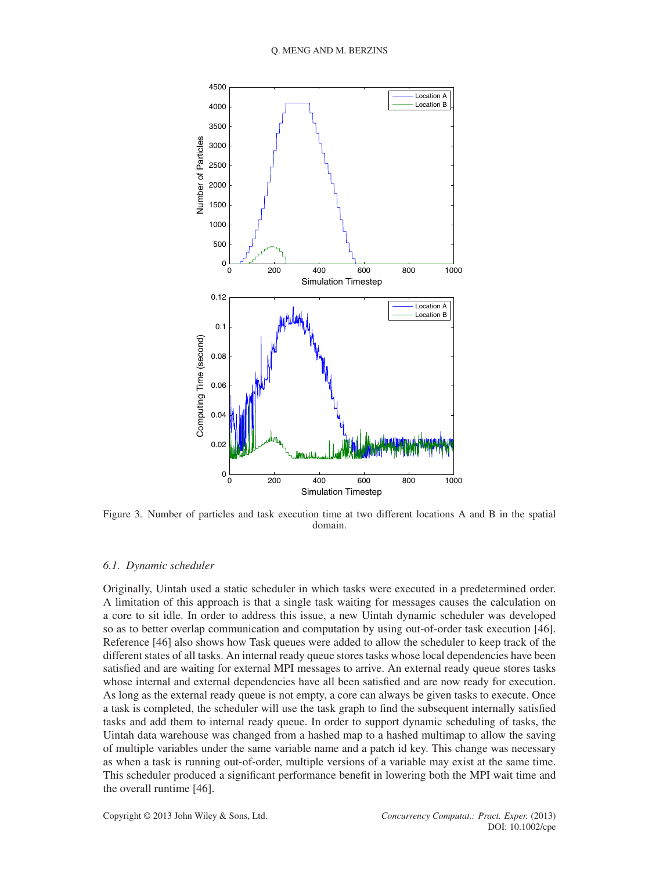

Figure 3. Number of particles and task execution time at two different locations A and B in the spatial domain.

#### *6.1. Dynamic scheduler*

Originally, Uintah used a static scheduler in which tasks were executed in a predetermined order. A limitation of this approach is that a single task waiting for messages causes the calculation on a core to sit idle. In order to address this issue, a new Uintah dynamic scheduler was developed so as to better overlap communication and computation by using out-of-order task execution [46]. Reference [46] also shows how Task queues were added to allow the scheduler to keep track of the different states of all tasks. An internal ready queue stores tasks whose local dependencies have been satisfied and are waiting for external MPI messages to arrive. An external ready queue stores tasks whose internal and external dependencies have all been satisfied and are now ready for execution. As long as the external ready queue is not empty, a core can always be given tasks to execute. Once a task is completed, the scheduler will use the task graph to find the subsequent internally satisfied tasks and add them to internal ready queue. In order to support dynamic scheduling of tasks, the Uintah data warehouse was changed from a hashed map to a hashed multimap to allow the saving of multiple variables under the same variable name and a patch id key. This change was necessary as when a task is running out-of-order, multiple versions of a variable may exist at the same time. This scheduler produced a significant performance benefit in lowering both the MPI wait time and the overall runtime [46].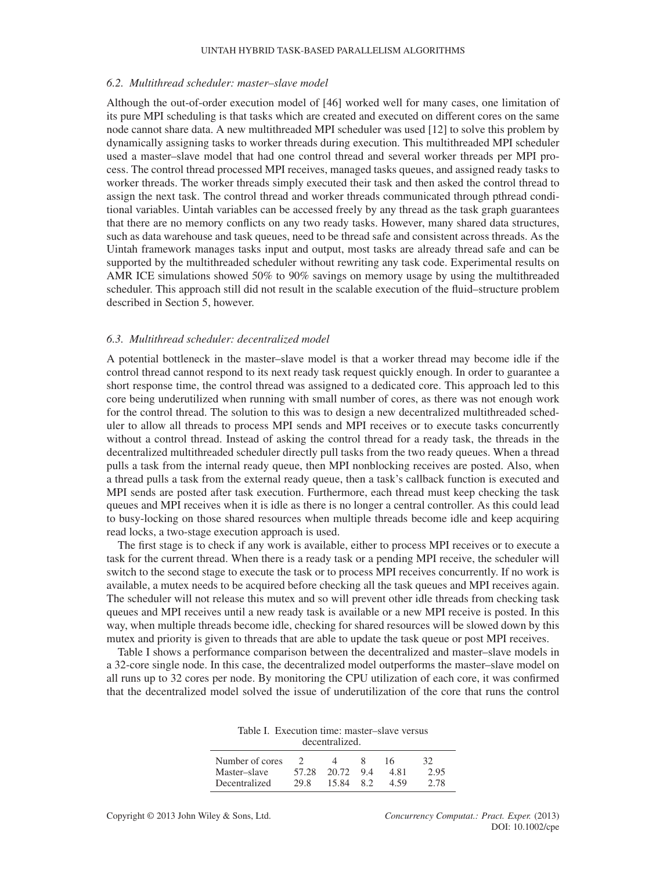## *6.2. Multithread scheduler: master–slave model*

Although the out-of-order execution model of [46] worked well for many cases, one limitation of its pure MPI scheduling is that tasks which are created and executed on different cores on the same node cannot share data. A new multithreaded MPI scheduler was used [12] to solve this problem by dynamically assigning tasks to worker threads during execution. This multithreaded MPI scheduler used a master–slave model that had one control thread and several worker threads per MPI process. The control thread processed MPI receives, managed tasks queues, and assigned ready tasks to worker threads. The worker threads simply executed their task and then asked the control thread to assign the next task. The control thread and worker threads communicated through pthread conditional variables. Uintah variables can be accessed freely by any thread as the task graph guarantees that there are no memory conflicts on any two ready tasks. However, many shared data structures, such as data warehouse and task queues, need to be thread safe and consistent across threads. As the Uintah framework manages tasks input and output, most tasks are already thread safe and can be supported by the multithreaded scheduler without rewriting any task code. Experimental results on AMR ICE simulations showed 50% to 90% savings on memory usage by using the multithreaded scheduler. This approach still did not result in the scalable execution of the fluid–structure problem described in Section 5, however.

#### *6.3. Multithread scheduler: decentralized model*

A potential bottleneck in the master–slave model is that a worker thread may become idle if the control thread cannot respond to its next ready task request quickly enough. In order to guarantee a short response time, the control thread was assigned to a dedicated core. This approach led to this core being underutilized when running with small number of cores, as there was not enough work for the control thread. The solution to this was to design a new decentralized multithreaded scheduler to allow all threads to process MPI sends and MPI receives or to execute tasks concurrently without a control thread. Instead of asking the control thread for a ready task, the threads in the decentralized multithreaded scheduler directly pull tasks from the two ready queues. When a thread pulls a task from the internal ready queue, then MPI nonblocking receives are posted. Also, when a thread pulls a task from the external ready queue, then a task's callback function is executed and MPI sends are posted after task execution. Furthermore, each thread must keep checking the task queues and MPI receives when it is idle as there is no longer a central controller. As this could lead to busy-locking on those shared resources when multiple threads become idle and keep acquiring read locks, a two-stage execution approach is used.

The first stage is to check if any work is available, either to process MPI receives or to execute a task for the current thread. When there is a ready task or a pending MPI receive, the scheduler will switch to the second stage to execute the task or to process MPI receives concurrently. If no work is available, a mutex needs to be acquired before checking all the task queues and MPI receives again. The scheduler will not release this mutex and so will prevent other idle threads from checking task queues and MPI receives until a new ready task is available or a new MPI receive is posted. In this way, when multiple threads become idle, checking for shared resources will be slowed down by this mutex and priority is given to threads that are able to update the task queue or post MPI receives.

Table I shows a performance comparison between the decentralized and master–slave models in a 32-core single node. In this case, the decentralized model outperforms the master–slave model on all runs up to 32 cores per node. By monitoring the CPU utilization of each core, it was confirmed that the decentralized model solved the issue of underutilization of the core that runs the control

| Table I. Execution time: master-slave versus |  |
|----------------------------------------------|--|
| decentralized.                               |  |

| Number of cores |       |       |    | 16   |      |  |  |
|-----------------|-------|-------|----|------|------|--|--|
| Master-slave    | 57.28 | 20.72 | 94 | 481  | 2.95 |  |  |
| Decentralized   | 29 R  | 15.84 | 82 | 4.59 | 2.78 |  |  |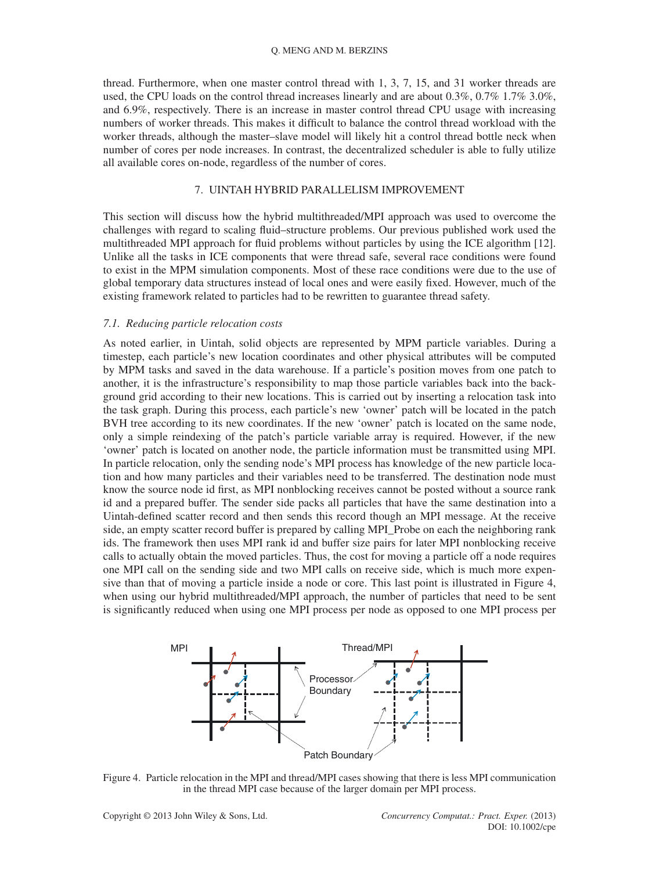thread. Furthermore, when one master control thread with 1, 3, 7, 15, and 31 worker threads are used, the CPU loads on the control thread increases linearly and are about 0.3%, 0.7% 1.7% 3.0%, and 6.9%, respectively. There is an increase in master control thread CPU usage with increasing numbers of worker threads. This makes it difficult to balance the control thread workload with the worker threads, although the master–slave model will likely hit a control thread bottle neck when number of cores per node increases. In contrast, the decentralized scheduler is able to fully utilize all available cores on-node, regardless of the number of cores.

## 7. UINTAH HYBRID PARALLELISM IMPROVEMENT

This section will discuss how the hybrid multithreaded/MPI approach was used to overcome the challenges with regard to scaling fluid–structure problems. Our previous published work used the multithreaded MPI approach for fluid problems without particles by using the ICE algorithm [12]. Unlike all the tasks in ICE components that were thread safe, several race conditions were found to exist in the MPM simulation components. Most of these race conditions were due to the use of global temporary data structures instead of local ones and were easily fixed. However, much of the existing framework related to particles had to be rewritten to guarantee thread safety.

## *7.1. Reducing particle relocation costs*

As noted earlier, in Uintah, solid objects are represented by MPM particle variables. During a timestep, each particle's new location coordinates and other physical attributes will be computed by MPM tasks and saved in the data warehouse. If a particle's position moves from one patch to another, it is the infrastructure's responsibility to map those particle variables back into the background grid according to their new locations. This is carried out by inserting a relocation task into the task graph. During this process, each particle's new 'owner' patch will be located in the patch BVH tree according to its new coordinates. If the new 'owner' patch is located on the same node, only a simple reindexing of the patch's particle variable array is required. However, if the new 'owner' patch is located on another node, the particle information must be transmitted using MPI. In particle relocation, only the sending node's MPI process has knowledge of the new particle location and how many particles and their variables need to be transferred. The destination node must know the source node id first, as MPI nonblocking receives cannot be posted without a source rank id and a prepared buffer. The sender side packs all particles that have the same destination into a Uintah-defined scatter record and then sends this record though an MPI message. At the receive side, an empty scatter record buffer is prepared by calling MPI\_Probe on each the neighboring rank ids. The framework then uses MPI rank id and buffer size pairs for later MPI nonblocking receive calls to actually obtain the moved particles. Thus, the cost for moving a particle off a node requires one MPI call on the sending side and two MPI calls on receive side, which is much more expensive than that of moving a particle inside a node or core. This last point is illustrated in Figure 4, when using our hybrid multithreaded/MPI approach, the number of particles that need to be sent is significantly reduced when using one MPI process per node as opposed to one MPI process per



Figure 4. Particle relocation in the MPI and thread/MPI cases showing that there is less MPI communication in the thread MPI case because of the larger domain per MPI process.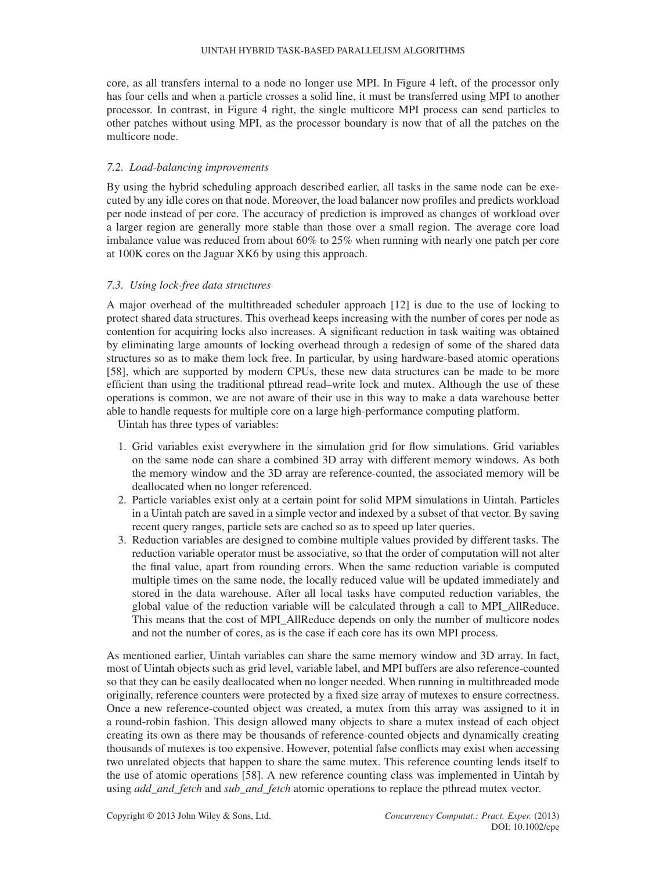core, as all transfers internal to a node no longer use MPI. In Figure 4 left, of the processor only has four cells and when a particle crosses a solid line, it must be transferred using MPI to another processor. In contrast, in Figure 4 right, the single multicore MPI process can send particles to other patches without using MPI, as the processor boundary is now that of all the patches on the multicore node.

## *7.2. Load-balancing improvements*

By using the hybrid scheduling approach described earlier, all tasks in the same node can be executed by any idle cores on that node. Moreover, the load balancer now profiles and predicts workload per node instead of per core. The accuracy of prediction is improved as changes of workload over a larger region are generally more stable than those over a small region. The average core load imbalance value was reduced from about 60% to 25% when running with nearly one patch per core at 100K cores on the Jaguar XK6 by using this approach.

## *7.3. Using lock-free data structures*

A major overhead of the multithreaded scheduler approach [12] is due to the use of locking to protect shared data structures. This overhead keeps increasing with the number of cores per node as contention for acquiring locks also increases. A significant reduction in task waiting was obtained by eliminating large amounts of locking overhead through a redesign of some of the shared data structures so as to make them lock free. In particular, by using hardware-based atomic operations [58], which are supported by modern CPUs, these new data structures can be made to be more efficient than using the traditional pthread read–write lock and mutex. Although the use of these operations is common, we are not aware of their use in this way to make a data warehouse better able to handle requests for multiple core on a large high-performance computing platform.

Uintah has three types of variables:

- 1. Grid variables exist everywhere in the simulation grid for flow simulations. Grid variables on the same node can share a combined 3D array with different memory windows. As both the memory window and the 3D array are reference-counted, the associated memory will be deallocated when no longer referenced.
- 2. Particle variables exist only at a certain point for solid MPM simulations in Uintah. Particles in a Uintah patch are saved in a simple vector and indexed by a subset of that vector. By saving recent query ranges, particle sets are cached so as to speed up later queries.
- 3. Reduction variables are designed to combine multiple values provided by different tasks. The reduction variable operator must be associative, so that the order of computation will not alter the final value, apart from rounding errors. When the same reduction variable is computed multiple times on the same node, the locally reduced value will be updated immediately and stored in the data warehouse. After all local tasks have computed reduction variables, the global value of the reduction variable will be calculated through a call to MPI\_AllReduce. This means that the cost of MPI\_AllReduce depends on only the number of multicore nodes and not the number of cores, as is the case if each core has its own MPI process.

As mentioned earlier, Uintah variables can share the same memory window and 3D array. In fact, most of Uintah objects such as grid level, variable label, and MPI buffers are also reference-counted so that they can be easily deallocated when no longer needed. When running in multithreaded mode originally, reference counters were protected by a fixed size array of mutexes to ensure correctness. Once a new reference-counted object was created, a mutex from this array was assigned to it in a round-robin fashion. This design allowed many objects to share a mutex instead of each object creating its own as there may be thousands of reference-counted objects and dynamically creating thousands of mutexes is too expensive. However, potential false conflicts may exist when accessing two unrelated objects that happen to share the same mutex. This reference counting lends itself to the use of atomic operations [58]. A new reference counting class was implemented in Uintah by using *add\_and\_fetch* and *sub\_and\_fetch* atomic operations to replace the pthread mutex vector.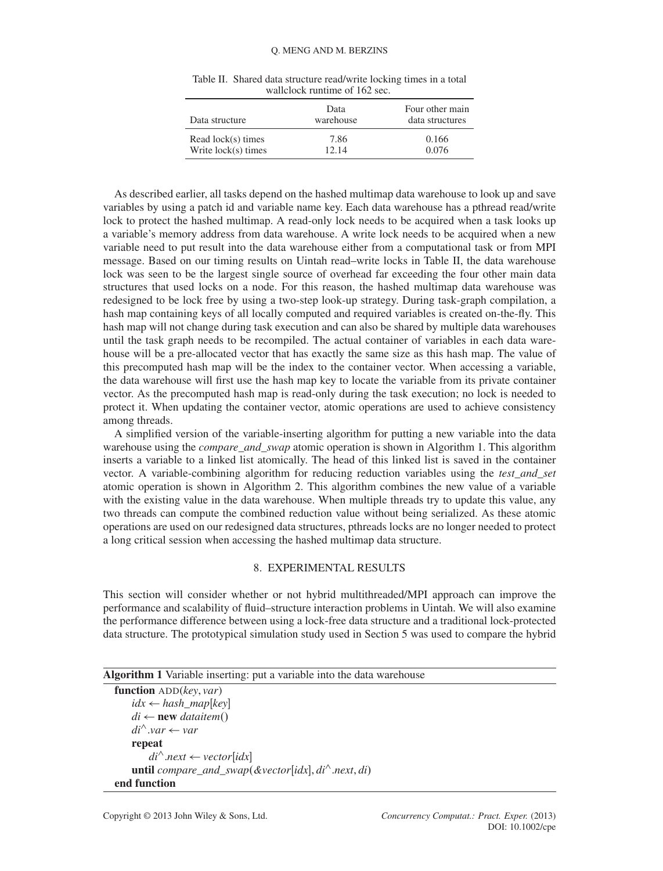| Data structure      | Data<br>warehouse | Four other main<br>data structures |  |  |  |
|---------------------|-------------------|------------------------------------|--|--|--|
| Read lock(s) times  | 7.86              | 0.166                              |  |  |  |
| Write lock(s) times | 12.14             | 0.076                              |  |  |  |

Table II. Shared data structure read/write locking times in a total wallclock runtime of 162 sec.

As described earlier, all tasks depend on the hashed multimap data warehouse to look up and save variables by using a patch id and variable name key. Each data warehouse has a pthread read/write lock to protect the hashed multimap. A read-only lock needs to be acquired when a task looks up a variable's memory address from data warehouse. A write lock needs to be acquired when a new variable need to put result into the data warehouse either from a computational task or from MPI message. Based on our timing results on Uintah read–write locks in Table II, the data warehouse lock was seen to be the largest single source of overhead far exceeding the four other main data structures that used locks on a node. For this reason, the hashed multimap data warehouse was redesigned to be lock free by using a two-step look-up strategy. During task-graph compilation, a hash map containing keys of all locally computed and required variables is created on-the-fly. This hash map will not change during task execution and can also be shared by multiple data warehouses until the task graph needs to be recompiled. The actual container of variables in each data warehouse will be a pre-allocated vector that has exactly the same size as this hash map. The value of this precomputed hash map will be the index to the container vector. When accessing a variable, the data warehouse will first use the hash map key to locate the variable from its private container vector. As the precomputed hash map is read-only during the task execution; no lock is needed to protect it. When updating the container vector, atomic operations are used to achieve consistency among threads.

A simplified version of the variable-inserting algorithm for putting a new variable into the data warehouse using the *compare\_and\_swap* atomic operation is shown in Algorithm 1. This algorithm inserts a variable to a linked list atomically. The head of this linked list is saved in the container vector. A variable-combining algorithm for reducing reduction variables using the *test\_and\_set* atomic operation is shown in Algorithm 2. This algorithm combines the new value of a variable with the existing value in the data warehouse. When multiple threads try to update this value, any two threads can compute the combined reduction value without being serialized. As these atomic operations are used on our redesigned data structures, pthreads locks are no longer needed to protect a long critical session when accessing the hashed multimap data structure.

## 8. EXPERIMENTAL RESULTS

This section will consider whether or not hybrid multithreaded/MPI approach can improve the performance and scalability of fluid–structure interaction problems in Uintah. We will also examine the performance difference between using a lock-free data structure and a traditional lock-protected data structure. The prototypical simulation study used in Section 5 was used to compare the hybrid

**function** ADD(*key*, *var*) *idx* ← hash\_map[key]  $di \leftarrow$ **new** *dataitem*()  $di^{\wedge} .var \leftarrow var$ **repeat**  $di^{\wedge}$ *.next*  $\leftarrow$  *vector*[*idx*]  $\mathbf{until} \ compare\_and\_swap(\&vector[idx], di^{\wedge}.next, di)$ **end function**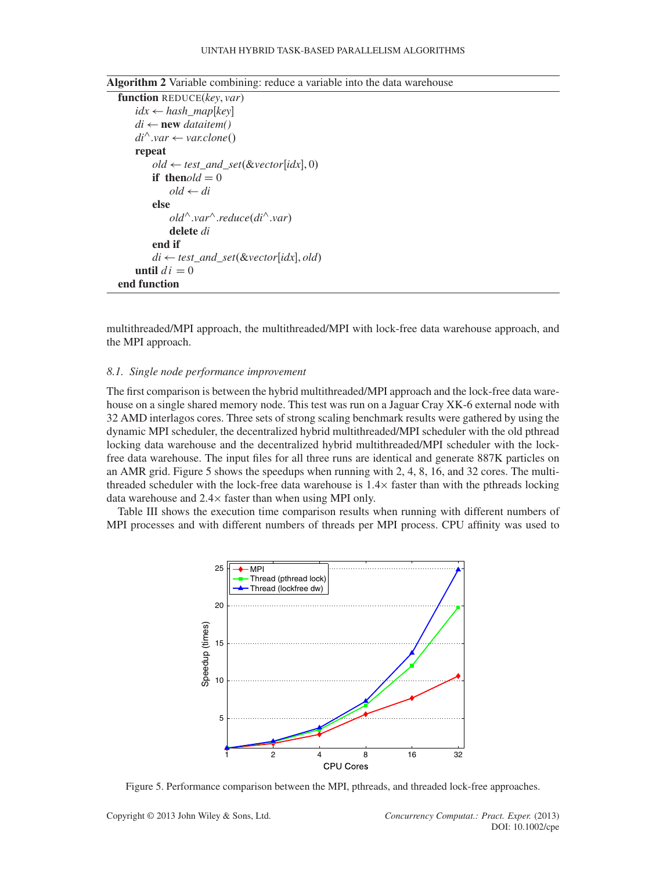## UINTAH HYBRID TASK-BASED PARALLELISM ALGORITHMS

| Algorithm 2 Variable combining: reduce a variable into the data warehouse |  |
|---------------------------------------------------------------------------|--|
|---------------------------------------------------------------------------|--|

```
function REDUCE(key, var)
idx ← hash_map[key]
di \leftarrownew dataitem()
di^{\wedge}.var \leftarrow var.clone()
repeat
    old \leftarrow test\_and\_set(\&vector[idx], 0)if thenold = 0old \leftarrow dielse
        old^.var^.reduce.di^.var/
        delete di
    end if
    di \leftarrow test\_and\_set(\&vector[idx], old)until di = 0end function
```
multithreaded/MPI approach, the multithreaded/MPI with lock-free data warehouse approach, and the MPI approach.

#### *8.1. Single node performance improvement*

The first comparison is between the hybrid multithreaded/MPI approach and the lock-free data warehouse on a single shared memory node. This test was run on a Jaguar Cray XK-6 external node with 32 AMD interlagos cores. Three sets of strong scaling benchmark results were gathered by using the dynamic MPI scheduler, the decentralized hybrid multithreaded/MPI scheduler with the old pthread locking data warehouse and the decentralized hybrid multithreaded/MPI scheduler with the lockfree data warehouse. The input files for all three runs are identical and generate 887K particles on an AMR grid. Figure 5 shows the speedups when running with 2, 4, 8, 16, and 32 cores. The multithreaded scheduler with the lock-free data warehouse is  $1.4\times$  faster than with the pthreads locking data warehouse and  $2.4\times$  faster than when using MPI only.

Table III shows the execution time comparison results when running with different numbers of MPI processes and with different numbers of threads per MPI process. CPU affinity was used to



Figure 5. Performance comparison between the MPI, pthreads, and threaded lock-free approaches.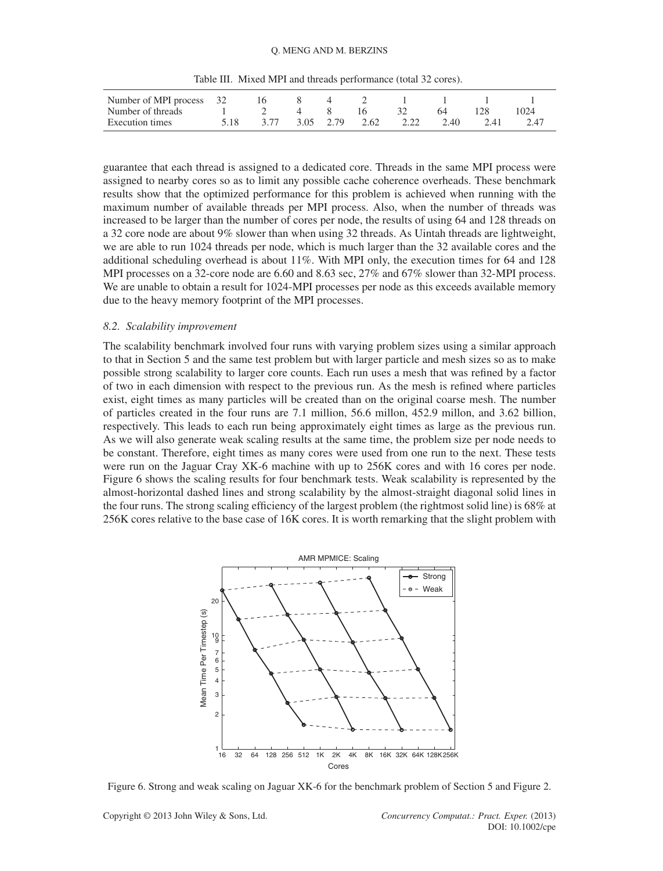Table III. Mixed MPI and threads performance (total 32 cores).

| Number of MPI process 32<br>Number of threads |       |      |           |      |      | 64   |      | 1024 |
|-----------------------------------------------|-------|------|-----------|------|------|------|------|------|
| Execution times                               | 5 1 8 | 3.77 | 3.05 2.79 | 2.62 | 2.22 | 2.40 | 2.41 | 2.47 |

guarantee that each thread is assigned to a dedicated core. Threads in the same MPI process were assigned to nearby cores so as to limit any possible cache coherence overheads. These benchmark results show that the optimized performance for this problem is achieved when running with the maximum number of available threads per MPI process. Also, when the number of threads was increased to be larger than the number of cores per node, the results of using 64 and 128 threads on a 32 core node are about 9% slower than when using 32 threads. As Uintah threads are lightweight, we are able to run 1024 threads per node, which is much larger than the 32 available cores and the additional scheduling overhead is about  $11\%$ . With MPI only, the execution times for 64 and 128 MPI processes on a 32-core node are 6.60 and 8.63 sec, 27% and 67% slower than 32-MPI process. We are unable to obtain a result for 1024-MPI processes per node as this exceeds available memory due to the heavy memory footprint of the MPI processes.

## *8.2. Scalability improvement*

The scalability benchmark involved four runs with varying problem sizes using a similar approach to that in Section 5 and the same test problem but with larger particle and mesh sizes so as to make possible strong scalability to larger core counts. Each run uses a mesh that was refined by a factor of two in each dimension with respect to the previous run. As the mesh is refined where particles exist, eight times as many particles will be created than on the original coarse mesh. The number of particles created in the four runs are 7.1 million, 56.6 millon, 452.9 millon, and 3.62 billion, respectively. This leads to each run being approximately eight times as large as the previous run. As we will also generate weak scaling results at the same time, the problem size per node needs to be constant. Therefore, eight times as many cores were used from one run to the next. These tests were run on the Jaguar Cray XK-6 machine with up to 256K cores and with 16 cores per node. Figure 6 shows the scaling results for four benchmark tests. Weak scalability is represented by the almost-horizontal dashed lines and strong scalability by the almost-straight diagonal solid lines in the four runs. The strong scaling efficiency of the largest problem (the rightmost solid line) is 68% at 256K cores relative to the base case of 16K cores. It is worth remarking that the slight problem with



Figure 6. Strong and weak scaling on Jaguar XK-6 for the benchmark problem of Section 5 and Figure 2.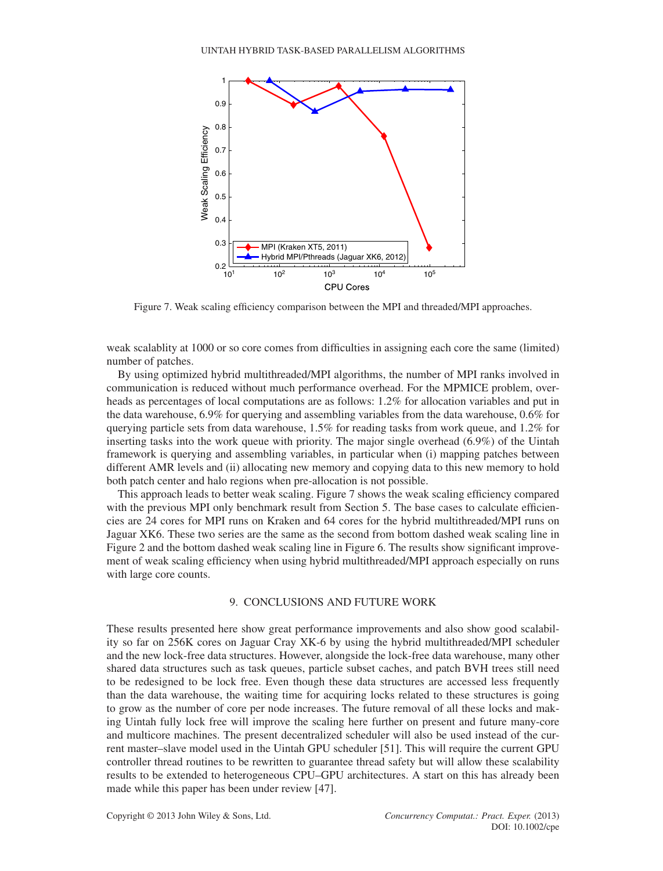

Figure 7. Weak scaling efficiency comparison between the MPI and threaded/MPI approaches.

weak scalablity at 1000 or so core comes from difficulties in assigning each core the same (limited) number of patches.

By using optimized hybrid multithreaded/MPI algorithms, the number of MPI ranks involved in communication is reduced without much performance overhead. For the MPMICE problem, overheads as percentages of local computations are as follows: 1.2% for allocation variables and put in the data warehouse, 6.9% for querying and assembling variables from the data warehouse, 0.6% for querying particle sets from data warehouse, 1.5% for reading tasks from work queue, and 1.2% for inserting tasks into the work queue with priority. The major single overhead (6.9%) of the Uintah framework is querying and assembling variables, in particular when (i) mapping patches between different AMR levels and (ii) allocating new memory and copying data to this new memory to hold both patch center and halo regions when pre-allocation is not possible.

This approach leads to better weak scaling. Figure 7 shows the weak scaling efficiency compared with the previous MPI only benchmark result from Section 5. The base cases to calculate efficiencies are 24 cores for MPI runs on Kraken and 64 cores for the hybrid multithreaded/MPI runs on Jaguar XK6. These two series are the same as the second from bottom dashed weak scaling line in Figure 2 and the bottom dashed weak scaling line in Figure 6. The results show significant improvement of weak scaling efficiency when using hybrid multithreaded/MPI approach especially on runs with large core counts.

#### 9. CONCLUSIONS AND FUTURE WORK

These results presented here show great performance improvements and also show good scalability so far on 256K cores on Jaguar Cray XK-6 by using the hybrid multithreaded/MPI scheduler and the new lock-free data structures. However, alongside the lock-free data warehouse, many other shared data structures such as task queues, particle subset caches, and patch BVH trees still need to be redesigned to be lock free. Even though these data structures are accessed less frequently than the data warehouse, the waiting time for acquiring locks related to these structures is going to grow as the number of core per node increases. The future removal of all these locks and making Uintah fully lock free will improve the scaling here further on present and future many-core and multicore machines. The present decentralized scheduler will also be used instead of the current master–slave model used in the Uintah GPU scheduler [51]. This will require the current GPU controller thread routines to be rewritten to guarantee thread safety but will allow these scalability results to be extended to heterogeneous CPU–GPU architectures. A start on this has already been made while this paper has been under review [47].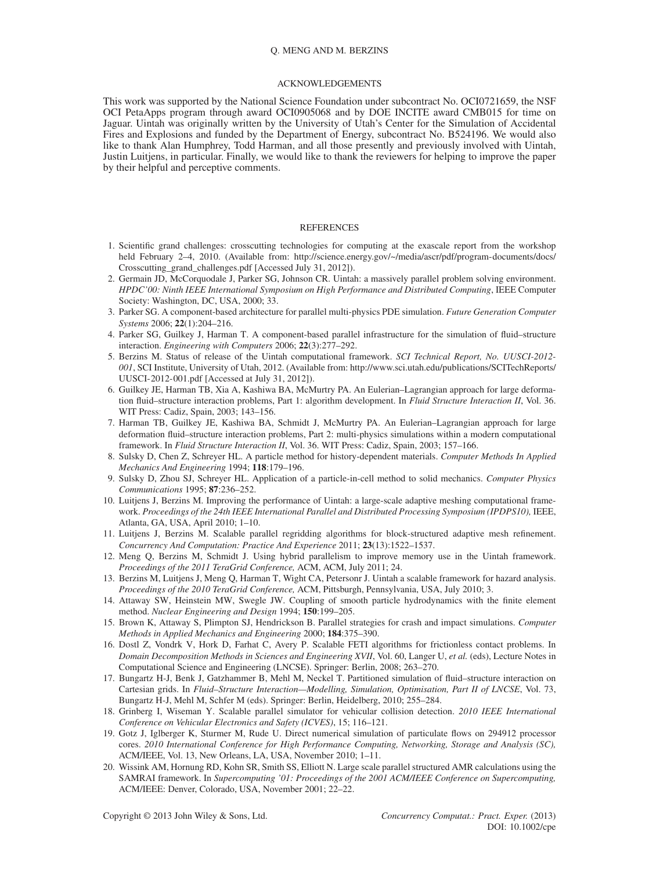#### ACKNOWLEDGEMENTS

This work was supported by the National Science Foundation under subcontract No. OCI0721659, the NSF OCI PetaApps program through award OCI0905068 and by DOE INCITE award CMB015 for time on Jaguar. Uintah was originally written by the University of Utah's Center for the Simulation of Accidental Fires and Explosions and funded by the Department of Energy, subcontract No. B524196. We would also like to thank Alan Humphrey, Todd Harman, and all those presently and previously involved with Uintah, Justin Luitjens, in particular. Finally, we would like to thank the reviewers for helping to improve the paper by their helpful and perceptive comments.

#### **REFERENCES**

- 1. Scientific grand challenges: crosscutting technologies for computing at the exascale report from the workshop held February 2–4, 2010. (Available from: http://science.energy.gov/~/media/ascr/pdf/program-documents/docs/ Crosscutting\_grand\_challenges.pdf [Accessed July 31, 2012]).
- 2. Germain JD, McCorquodale J, Parker SG, Johnson CR. Uintah: a massively parallel problem solving environment. *HPDC'00: Ninth IEEE International Symposium on High Performance and Distributed Computing*, IEEE Computer Society: Washington, DC, USA, 2000; 33.
- 3. Parker SG. A component-based architecture for parallel multi-physics PDE simulation. *Future Generation Computer Systems* 2006; **22**(1):204–216.
- 4. Parker SG, Guilkey J, Harman T. A component-based parallel infrastructure for the simulation of fluid–structure interaction. *Engineering with Computers* 2006; **22**(3):277–292.
- 5. Berzins M. Status of release of the Uintah computational framework. *SCI Technical Report, No. UUSCI-2012- 001*, SCI Institute, University of Utah, 2012. (Available from: http://www.sci.utah.edu/publications/SCITechReports/ UUSCI-2012-001.pdf [Accessed at July 31, 2012]).
- 6. Guilkey JE, Harman TB, Xia A, Kashiwa BA, McMurtry PA. An Eulerian–Lagrangian approach for large deformation fluid–structure interaction problems, Part 1: algorithm development. In *Fluid Structure Interaction II*, Vol. 36. WIT Press: Cadiz, Spain, 2003; 143–156.
- 7. Harman TB, Guilkey JE, Kashiwa BA, Schmidt J, McMurtry PA. An Eulerian–Lagrangian approach for large deformation fluid–structure interaction problems, Part 2: multi-physics simulations within a modern computational framework. In *Fluid Structure Interaction II*, Vol. 36. WIT Press: Cadiz, Spain, 2003; 157–166.
- 8. Sulsky D, Chen Z, Schreyer HL. A particle method for history-dependent materials. *Computer Methods In Applied Mechanics And Engineering* 1994; **118**:179–196.
- 9. Sulsky D, Zhou SJ, Schreyer HL. Application of a particle-in-cell method to solid mechanics. *Computer Physics Communications* 1995; **87**:236–252.
- 10. Luitjens J, Berzins M. Improving the performance of Uintah: a large-scale adaptive meshing computational framework. *Proceedings of the 24th IEEE International Parallel and Distributed Processing Symposium (IPDPS10),* IEEE, Atlanta, GA, USA, April 2010; 1–10.
- 11. Luitjens J, Berzins M. Scalable parallel regridding algorithms for block-structured adaptive mesh refinement. *Concurrency And Computation: Practice And Experience* 2011; **23**(13):1522–1537.
- 12. Meng Q, Berzins M, Schmidt J. Using hybrid parallelism to improve memory use in the Uintah framework. *Proceedings of the 2011 TeraGrid Conference,* ACM, ACM, July 2011; 24.
- 13. Berzins M, Luitjens J, Meng Q, Harman T, Wight CA, Petersonr J. Uintah a scalable framework for hazard analysis. *Proceedings of the 2010 TeraGrid Conference,* ACM, Pittsburgh, Pennsylvania, USA, July 2010; 3.
- 14. Attaway SW, Heinstein MW, Swegle JW. Coupling of smooth particle hydrodynamics with the finite element method. *Nuclear Engineering and Design* 1994; **150**:199–205.
- 15. Brown K, Attaway S, Plimpton SJ, Hendrickson B. Parallel strategies for crash and impact simulations. *Computer Methods in Applied Mechanics and Engineering* 2000; **184**:375–390.
- 16. Dostl Z, Vondrk V, Hork D, Farhat C, Avery P. Scalable FETI algorithms for frictionless contact problems. In *Domain Decomposition Methods in Sciences and Engineering XVII*, Vol. 60, Langer U, *et al.* (eds), Lecture Notes in Computational Science and Engineering (LNCSE). Springer: Berlin, 2008; 263–270.
- 17. Bungartz H-J, Benk J, Gatzhammer B, Mehl M, Neckel T. Partitioned simulation of fluid–structure interaction on Cartesian grids. In *Fluid–Structure Interaction—Modelling, Simulation, Optimisation, Part II of LNCSE*, Vol. 73, Bungartz H-J, Mehl M, Schfer M (eds). Springer: Berlin, Heidelberg, 2010; 255–284.
- 18. Grinberg I, Wiseman Y. Scalable parallel simulator for vehicular collision detection. *2010 IEEE International Conference on Vehicular Electronics and Safety (ICVES)*, 15; 116–121.
- 19. Gotz J, Iglberger K, Sturmer M, Rude U. Direct numerical simulation of particulate flows on 294912 processor cores. *2010 International Conference for High Performance Computing, Networking, Storage and Analysis (SC),* ACM/IEEE, Vol. 13, New Orleans, LA, USA, November 2010; 1–11.
- 20. Wissink AM, Hornung RD, Kohn SR, Smith SS, Elliott N. Large scale parallel structured AMR calculations using the SAMRAI framework. In *Supercomputing '01: Proceedings of the 2001 ACM/IEEE Conference on Supercomputing,* ACM/IEEE: Denver, Colorado, USA, November 2001; 22–22.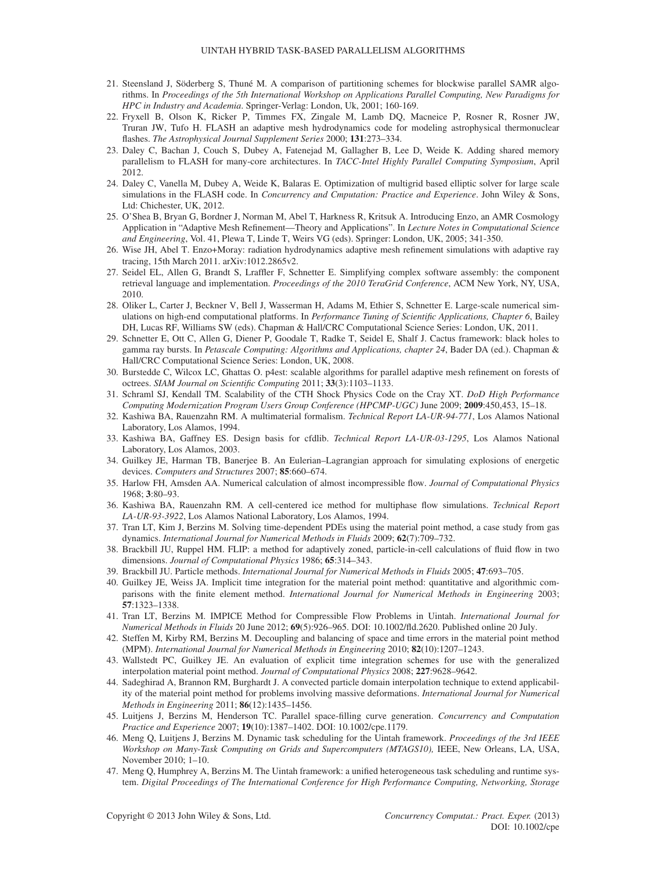- 21. Steensland J, Söderberg S, Thuné M. A comparison of partitioning schemes for blockwise parallel SAMR algorithms. In *Proceedings of the 5th International Workshop on Applications Parallel Computing, New Paradigms for HPC in Industry and Academia*. Springer-Verlag: London, Uk, 2001; 160-169.
- 22. Fryxell B, Olson K, Ricker P, Timmes FX, Zingale M, Lamb DQ, Macneice P, Rosner R, Rosner JW, Truran JW, Tufo H. FLASH an adaptive mesh hydrodynamics code for modeling astrophysical thermonuclear flashes. *The Astrophysical Journal Supplement Series* 2000; **131**:273–334.
- 23. Daley C, Bachan J, Couch S, Dubey A, Fatenejad M, Gallagher B, Lee D, Weide K. Adding shared memory parallelism to FLASH for many-core architectures. In *TACC-Intel Highly Parallel Computing Symposium*, April 2012.
- 24. Daley C, Vanella M, Dubey A, Weide K, Balaras E. Optimization of multigrid based elliptic solver for large scale simulations in the FLASH code. In *Concurrency and Cmputation: Practice and Experience*. John Wiley & Sons, Ltd: Chichester, UK, 2012.
- 25. O'Shea B, Bryan G, Bordner J, Norman M, Abel T, Harkness R, Kritsuk A. Introducing Enzo, an AMR Cosmology Application in "Adaptive Mesh Refinement—Theory and Applications". In *Lecture Notes in Computational Science and Engineering*, Vol. 41, Plewa T, Linde T, Weirs VG (eds). Springer: London, UK, 2005; 341-350.
- 26. Wise JH, Abel T. Enzo+Moray: radiation hydrodynamics adaptive mesh refinement simulations with adaptive ray tracing, 15th March 2011. arXiv:1012.2865v2.
- 27. Seidel EL, Allen G, Brandt S, Lraffler F, Schnetter E. Simplifying complex software assembly: the component retrieval language and implementation. *Proceedings of the 2010 TeraGrid Conference*, ACM New York, NY, USA, 2010.
- 28. Oliker L, Carter J, Beckner V, Bell J, Wasserman H, Adams M, Ethier S, Schnetter E. Large-scale numerical simulations on high-end computational platforms. In *Performance Tuning of Scientific Applications, Chapter 6*, Bailey DH, Lucas RF, Williams SW (eds). Chapman & Hall/CRC Computational Science Series: London, UK, 2011.
- 29. Schnetter E, Ott C, Allen G, Diener P, Goodale T, Radke T, Seidel E, Shalf J. Cactus framework: black holes to gamma ray bursts. In *Petascale Computing: Algorithms and Applications, chapter 24*, Bader DA (ed.). Chapman & Hall/CRC Computational Science Series: London, UK, 2008.
- 30. Burstedde C, Wilcox LC, Ghattas O. p4est: scalable algorithms for parallel adaptive mesh refinement on forests of octrees. *SIAM Journal on Scientific Computing* 2011; **33**(3):1103–1133.
- 31. Schraml SJ, Kendall TM. Scalability of the CTH Shock Physics Code on the Cray XT. *DoD High Performance Computing Modernization Program Users Group Conference (HPCMP-UGC)* June 2009; **2009**:450,453, 15–18.
- 32. Kashiwa BA, Rauenzahn RM. A multimaterial formalism. *Technical Report LA-UR-94-771*, Los Alamos National Laboratory, Los Alamos, 1994.
- 33. Kashiwa BA, Gaffney ES. Design basis for cfdlib. *Technical Report LA-UR-03-1295*, Los Alamos National Laboratory, Los Alamos, 2003.
- 34. Guilkey JE, Harman TB, Banerjee B. An Eulerian–Lagrangian approach for simulating explosions of energetic devices. *Computers and Structures* 2007; **85**:660–674.
- 35. Harlow FH, Amsden AA. Numerical calculation of almost incompressible flow. *Journal of Computational Physics* 1968; **3**:80–93.
- 36. Kashiwa BA, Rauenzahn RM. A cell-centered ice method for multiphase flow simulations. *Technical Report LA-UR-93-3922*, Los Alamos National Laboratory, Los Alamos, 1994.
- 37. Tran LT, Kim J, Berzins M. Solving time-dependent PDEs using the material point method, a case study from gas dynamics. *International Journal for Numerical Methods in Fluids* 2009; **62**(7):709–732.
- 38. Brackbill JU, Ruppel HM. FLIP: a method for adaptively zoned, particle-in-cell calculations of fluid flow in two dimensions. *Journal of Computational Physics* 1986; **65**:314–343.
- 39. Brackbill JU. Particle methods. *International Journal for Numerical Methods in Fluids* 2005; **47**:693–705.
- 40. Guilkey JE, Weiss JA. Implicit time integration for the material point method: quantitative and algorithmic comparisons with the finite element method. *International Journal for Numerical Methods in Engineering* 2003; **57**:1323–1338.
- 41. Tran LT, Berzins M. IMPICE Method for Compressible Flow Problems in Uintah. *International Journal for Numerical Methods in Fluids* 20 June 2012; **69**(5):926–965. DOI: 10.1002/fld.2620. Published online 20 July.
- 42. Steffen M, Kirby RM, Berzins M. Decoupling and balancing of space and time errors in the material point method (MPM). *International Journal for Numerical Methods in Engineering* 2010; **82**(10):1207–1243.
- 43. Wallstedt PC, Guilkey JE. An evaluation of explicit time integration schemes for use with the generalized interpolation material point method. *Journal of Computational Physics* 2008; **227**:9628–9642.
- 44. Sadeghirad A, Brannon RM, Burghardt J. A convected particle domain interpolation technique to extend applicability of the material point method for problems involving massive deformations. *International Journal for Numerical Methods in Engineering* 2011; **86**(12):1435–1456.
- 45. Luitjens J, Berzins M, Henderson TC. Parallel space-filling curve generation. *Concurrency and Computation Practice and Experience* 2007; **19**(10):1387–1402. DOI: 10.1002/cpe.1179.
- 46. Meng Q, Luitjens J, Berzins M. Dynamic task scheduling for the Uintah framework. *Proceedings of the 3rd IEEE Workshop on Many-Task Computing on Grids and Supercomputers (MTAGS10),* IEEE, New Orleans, LA, USA, November 2010; 1–10.
- 47. Meng Q, Humphrey A, Berzins M. The Uintah framework: a unified heterogeneous task scheduling and runtime system. *Digital Proceedings of The International Conference for High Performance Computing, Networking, Storage*